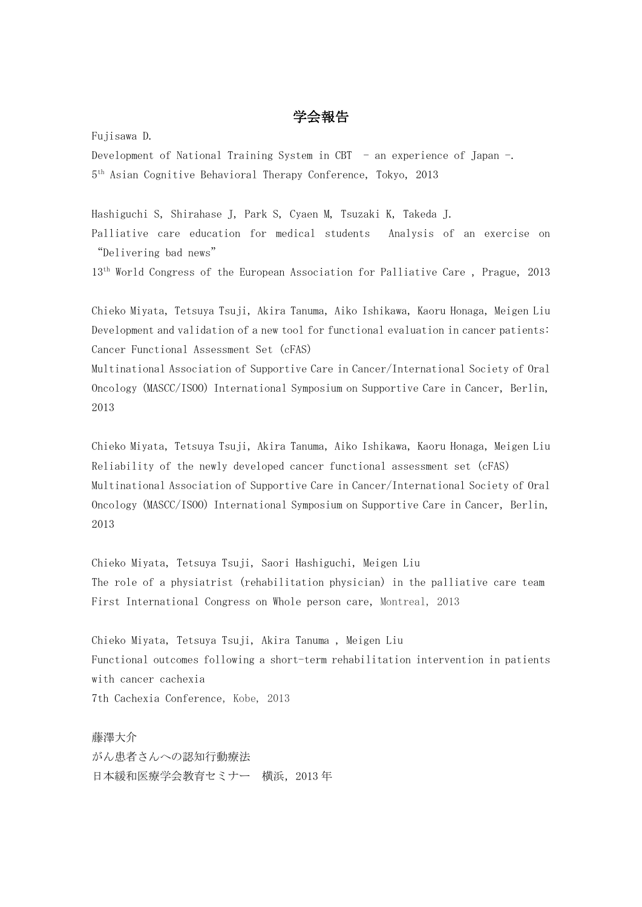## 学会報告

Fujisawa D.

Development of National Training System in CBT - an experience of Japan -. 5 th Asian Cognitive Behavioral Therapy Conference, Tokyo,2013

Hashiguchi S, Shirahase J, Park S, Cyaen M, Tsuzaki K, Takeda J. Palliative care education for medical students Analysis of an exercise on "Delivering bad news"

13<sup>th</sup> World Congress of the European Association for Palliative Care, Prague, 2013

Chieko Miyata, Tetsuya Tsuji, Akira Tanuma, Aiko Ishikawa, Kaoru Honaga, Meigen Liu Development and validation of a new tool for functional evaluation in cancer patients: Cancer Functional Assessment Set (cFAS)

Multinational Association of Supportive Care in Cancer/International Society of Oral Oncology (MASCC/ISOO) International Symposium on Supportive Care in Cancer, Berlin, 2013

Chieko Miyata, Tetsuya Tsuji, Akira Tanuma, Aiko Ishikawa, Kaoru Honaga, Meigen Liu Reliability of the newly developed cancer functional assessment set (cFAS) Multinational Association of Supportive Care in Cancer/International Society of Oral Oncology (MASCC/ISOO) International Symposium on Supportive Care in Cancer, Berlin, 2013

Chieko Miyata, Tetsuya Tsuji, Saori Hashiguchi, Meigen Liu The role of a physiatrist (rehabilitation physician) in the palliative care team First International Congress on Whole person care, Montreal, 2013

Chieko Miyata, Tetsuya Tsuji, Akira Tanuma , Meigen Liu Functional outcomes following a short-term rehabilitation intervention in patients with cancer cachexia 7th Cachexia Conference, Kobe, 2013

藤澤大介 がん患者さんへの認知行動療法 日本緩和医療学会教育セミナー 横浜,2013 年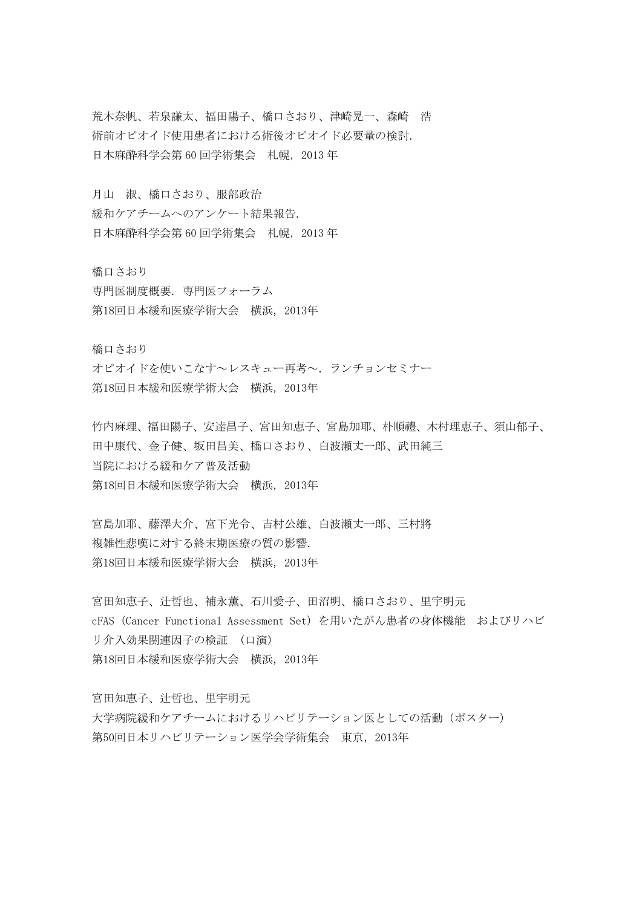荒木奈帆、若泉謙太、福田陽子、橋口さおり、津崎晃一、森崎 浩 術前オピオイド使用患者における術後オピオイド必要量の検討. 日本麻酔科学会第 60 回学術集会 札幌,2013 年

月山 淑、橋口さおり、服部政治

緩和ケアチームへのアンケート結果報告. 日本麻酔科学会第 60 回学術集会 札幌,2013 年

橋口さおり

専門医制度概要. 専門医フォーラム 第18回日本緩和医療学術大会 横浜,2013年

橋口さおり

オピオイドを使いこなす~レスキュー再考~.ランチョンセミナー 第18回日本緩和医療学術大会 横浜,2013年

竹内麻理、福田陽子、安達昌子、宮田知恵子、宮島加耶、朴順禮、木村理恵子、須山郁子、 田中康代、金子健、坂田昌美、橋口さおり、白波瀬丈一郎、武田純三 当院における緩和ケア普及活動 第18回日本緩和医療学術大会 横浜,2013年

宮島加耶、藤澤大介、宮下光令、吉村公雄、白波瀬丈一郎、三村將 複雑性悲嘆に対する終末期医療の質の影響. 第18回日本緩和医療学術大会 横浜,2013年

宮田知恵子、辻哲也、補永薫、石川愛子、田沼明、橋口さおり、里宇明元 cFAS (Cancer Functional Assessment Set) を用いたがん患者の身体機能 およびリハビ リ介入効果関連因子の検証 (口演) 第18回日本緩和医療学術大会 横浜,2013年

宮田知恵子、辻哲也、里宇明元 大学病院緩和ケアチームにおけるリハビリテーション医としての活動(ポスター) 第50回日本リハビリテーション医学会学術集会 東京,2013年